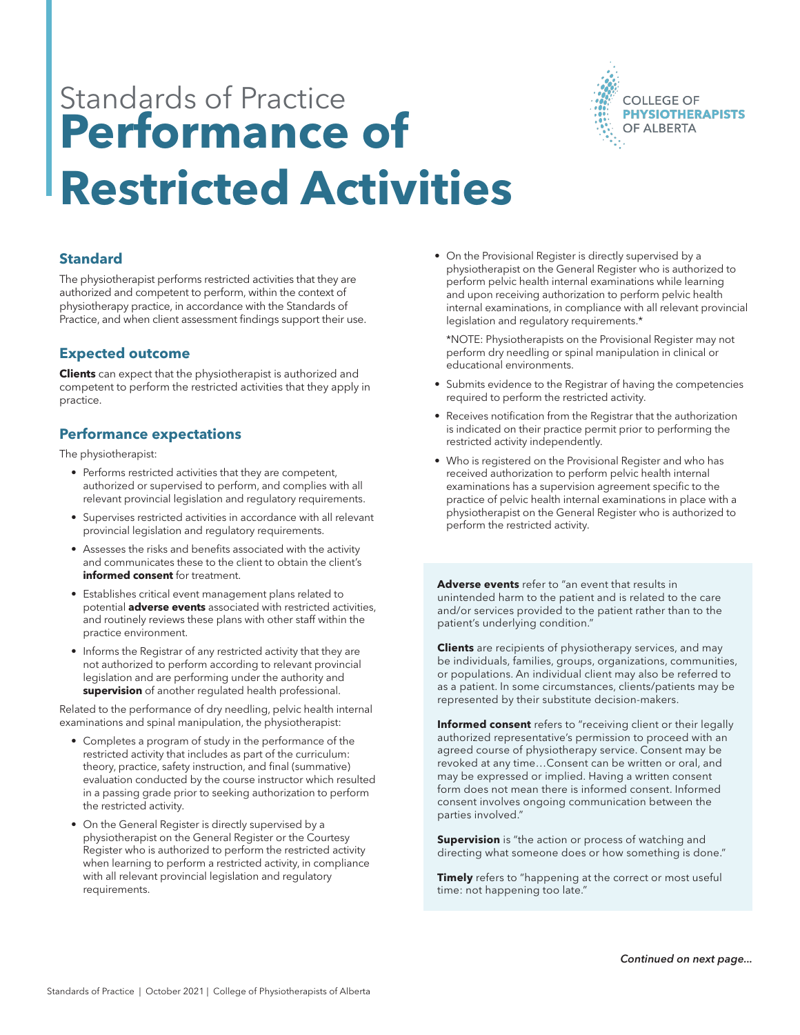

# Standards of Practice **Performance of Restricted Activities**

**Standard**

The physiotherapist performs restricted activities that they are authorized and competent to perform, within the context of physiotherapy practice, in accordance with the Standards of Practice, and when client assessment findings support their use.

## **Expected outcome**

**Clients** can expect that the physiotherapist is authorized and competent to perform the restricted activities that they apply in practice.

## **Performance expectations**

The physiotherapist:

- Performs restricted activities that they are competent, authorized or supervised to perform, and complies with all relevant provincial legislation and regulatory requirements.
- Supervises restricted activities in accordance with all relevant provincial legislation and regulatory requirements.
- Assesses the risks and benefits associated with the activity and communicates these to the client to obtain the client's **informed consent** for treatment.
- Establishes critical event management plans related to potential **adverse events** associated with restricted activities, and routinely reviews these plans with other staff within the practice environment.
- Informs the Registrar of any restricted activity that they are not authorized to perform according to relevant provincial legislation and are performing under the authority and **supervision** of another regulated health professional.

Related to the performance of dry needling, pelvic health internal examinations and spinal manipulation, the physiotherapist:

- Completes a program of study in the performance of the restricted activity that includes as part of the curriculum: theory, practice, safety instruction, and final (summative) evaluation conducted by the course instructor which resulted in a passing grade prior to seeking authorization to perform the restricted activity.
- On the General Register is directly supervised by a physiotherapist on the General Register or the Courtesy Register who is authorized to perform the restricted activity when learning to perform a restricted activity, in compliance with all relevant provincial legislation and regulatory requirements.

• On the Provisional Register is directly supervised by a physiotherapist on the General Register who is authorized to perform pelvic health internal examinations while learning and upon receiving authorization to perform pelvic health internal examinations, in compliance with all relevant provincial legislation and regulatory requirements.\*

\*NOTE: Physiotherapists on the Provisional Register may not perform dry needling or spinal manipulation in clinical or educational environments.

- Submits evidence to the Registrar of having the competencies required to perform the restricted activity.
- Receives notification from the Registrar that the authorization is indicated on their practice permit prior to performing the restricted activity independently.
- Who is registered on the Provisional Register and who has received authorization to perform pelvic health internal examinations has a supervision agreement specific to the practice of pelvic health internal examinations in place with a physiotherapist on the General Register who is authorized to perform the restricted activity.

**Adverse events** refer to "an event that results in unintended harm to the patient and is related to the care and/or services provided to the patient rather than to the patient's underlying condition."

**Clients** are recipients of physiotherapy services, and may be individuals, families, groups, organizations, communities, or populations. An individual client may also be referred to as a patient. In some circumstances, clients/patients may be represented by their substitute decision-makers.

**Informed consent** refers to "receiving client or their legally authorized representative's permission to proceed with an agreed course of physiotherapy service. Consent may be revoked at any time…Consent can be written or oral, and may be expressed or implied. Having a written consent form does not mean there is informed consent. Informed consent involves ongoing communication between the parties involved."

**Supervision** is "the action or process of watching and directing what someone does or how something is done."

**Timely** refers to "happening at the correct or most useful time: not happening too late."